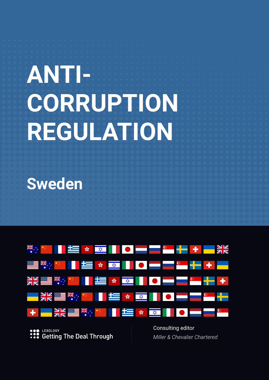# **ANTI-CORRUPTION REGULATION**

**Sweden**



LEXOLOGY **Getting The Deal Through**  Consulting editor *Miller & Chevalier Chartered*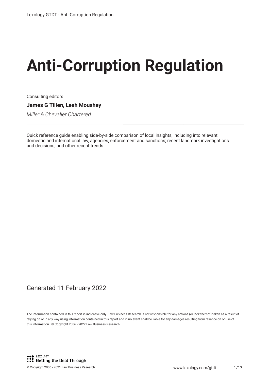# **Anti-Corruption Regulation**

Consulting editors **James G Tillen, Leah Moushey**

*Miller & Chevalier Chartered*

Quick reference guide enabling side-by-side comparison of local insights, including into relevant domestic and international law, agencies, enforcement and sanctions; recent landmark investigations and decisions; and other recent trends.

#### Generated 11 February 2022

The information contained in this report is indicative only. Law Business Research is not responsible for any actions (or lack thereof) taken as a result of relying on or in any way using information contained in this report and in no event shall be liable for any damages resulting from reliance on or use of this information. © Copyright 2006 - 2022 Law Business Research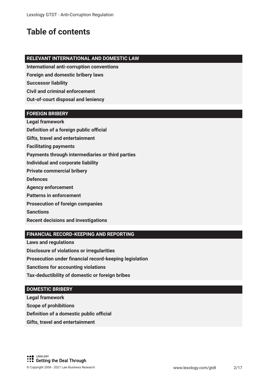## **Table of contents**

#### **RELEVANT INTERNATIONAL AND DOMESTIC LAW**

**International anti-corruption conventions**

**Foreign and domestic bribery laws**

**Successor liability**

**Civil and criminal enforcement**

**Out-of-court disposal and leniency**

#### **FOREIGN BRIBERY**

**Legal framework Definition of a foreign public official** 

**Gifts, travel and entertainment** 

**Facilitating payments**

**Payments through intermediaries or third parties**

**Individual and corporate liability**

**Private commercial bribery**

**Defences**

**Agency enforcement**

**Patterns in enforcement**

**Prosecution of foreign companies**

**Sanctions**

**Recent decisions and investigations**

#### **FINANCIAL RECORD-KEEPING AND REPORTING**

**Laws and regulations**

**Disclosure of violations or irregularities**

**Prosecution under fnancial record-keeping legislation**

**Sanctions for accounting violations**

**Tax-deductibility of domestic or foreign bribes**

#### **DOMESTIC BRIBERY**

**Legal framework**

**Scope of prohibitions**

**Definition of a domestic public official** 

**Gifts, travel and entertainment**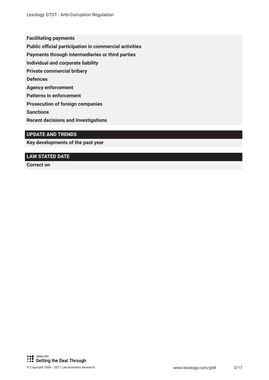**Facilitating payments**

**Public official participation in commercial activities** 

**Payments through intermediaries or third parties**

**Individual and corporate liability**

**Private commercial bribery**

**Defences**

**Agency enforcement**

**Patterns in enforcement**

**Prosecution of foreign companies**

**Sanctions**

**Recent decisions and investigations**

#### **UPDATE AND TRENDS**

**Key developments of the past year**

#### **LAW STATED DATE**

**Correct on**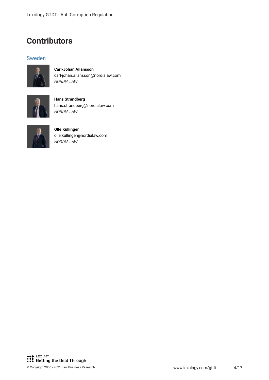### **Contributors**

#### Sweden



**Carl-Johan Allansson** carl-johan.allansson@nordialaw.com *NORDIA LAW*



**Hans Strandberg** hans.strandberg@nordialaw.com *NORDIA LAW*



**Olle Kullinger** olle.kullinger@nordialaw.com *NORDIA LAW*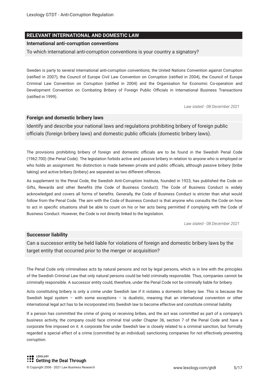#### **RELEVANT INTERNATIONAL AND DOMESTIC LAW**

#### **International anti-corruption conventions**

To which international anti-corruption conventions is your country a signatory?

Sweden is party to several international anti-corruption conventions; the United Nations Convention against Corruption (ratifed in 2007), the Council of Europe Civil Law Convention on Corruption (ratifed in 2004), the Council of Europe Criminal Law Convention on Corruption (ratifed in 2004) and the Organisation for Economic Co-operation and Development Convention on Combating Bribery of Foreign Public Officials in International Business Transactions (ratifed in 1999).

*Law stated - 08 December 2021*

#### **Foreign and domestic bribery laws**

Identify and describe your national laws and regulations prohibiting bribery of foreign public officials (foreign bribery laws) and domestic public officials (domestic bribery laws).

The provisions prohibiting bribery of foreign and domestic officials are to be found in the Swedish Penal Code (1962:700) (the Penal Code). The legislation forbids active and passive bribery in relation to anyone who is employed or who holds an assignment. No distinction is made between private and public officials, although passive bribery (bribe taking) and active bribery (bribery) are separated as two different offences.

As supplement to the Penal Code, the Swedish Anti-Corruption Institute, founded in 1923, has published the Code on Gifts, Rewards and other Benefts (the Code of Business Conduct). The Code of Business Conduct is widely acknowledged and covers all forms of benefts. Generally, the Code of Business Conduct is stricter than what would follow from the Penal Code. The aim with the Code of Business Conduct is that anyone who consults the Code on how to act in specifc situations shall be able to count on his or her acts being permitted if complying with the Code of Business Conduct. However, the Code is not directly linked to the legislation.

*Law stated - 08 December 2021*

#### **Successor liability**

Can a successor entity be held liable for violations of foreign and domestic bribery laws by the target entity that occurred prior to the merger or acquisition?

The Penal Code only criminalises acts by natural persons and not by legal persons, which is in line with the principles of the Swedish Criminal Law that only natural persons could be held criminally responsible. Thus, companies cannot be criminally responsible. A successor entity could, therefore, under the Penal Code not be criminally liable for bribery.

Acts constituting bribery is only a crime under Swedish law if it violates a domestic bribery law. This is because the Swedish legal system – with some exceptions – is dualistic, meaning that an international convention or other international legal act has to be incorporated into Swedish law to become effective and constitute criminal liability.

If a person has committed the crime of giving or receiving bribes, and the act was committed as part of a company's business activity, the company could face criminal trial under Chapter 36, section 7 of the Penal Code and have a corporate fne imposed on it. A corporate fne under Swedish law is closely related to a criminal sanction, but formally regarded a special effect of a crime (committed by an individual) sanctioning companies for not effectively preventing corruption.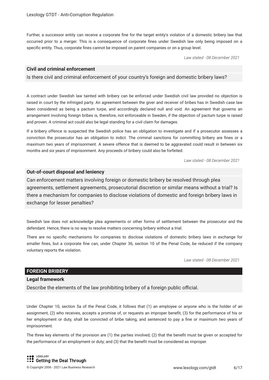Further, a successor entity can receive a corporate fne for the target entity's violation of a domestic bribery law that occurred prior to a merger. This is a consequence of corporate fnes under Swedish law only being imposed on a specifc entity. Thus, corporate fnes cannot be imposed on parent companies or on a group level.

*Law stated - 08 December 2021*

#### **Civil and criminal enforcement**

Is there civil and criminal enforcement of your country's foreign and domestic bribery laws?

A contract under Swedish law tainted with bribery can be enforced under Swedish civil law provided no objection is raised in court by the infringed party. An agreement between the giver and receiver of bribes has in Swedish case law been considered as being a pactum turpe, and accordingly declared null and void. An agreement that governs an arrangement involving foreign bribes is, therefore, not enforceable in Sweden, if the objection of pactum turpe is raised and proven. A criminal act could also be legal standing for a civil claim for damages.

If a bribery offence is suspected the Swedish police has an obligation to investigate and if a prosecutor assesses a conviction the prosecutor has an obligation to indict. The criminal sanctions for committing bribery are fnes or a maximum two years of imprisonment. A severe offence that is deemed to be aggravated could result in between six months and six years of imprisonment. Any proceeds of bribery could also be forfeited.

*Law stated - 08 December 2021*

#### **Out-of-court disposal and leniency**

Can enforcement matters involving foreign or domestic bribery be resolved through plea agreements, settlement agreements, prosecutorial discretion or similar means without a trial? Is there a mechanism for companies to disclose violations of domestic and foreign bribery laws in exchange for lesser penalties?

Swedish law does not acknowledge plea agreements or other forms of settlement between the prosecutor and the defendant. Hence, there is no way to resolve matters concerning bribery without a trial.

There are no specifc mechanisms for companies to disclose violations of domestic bribery laws in exchange for smaller fnes, but a corporate fne can, under Chapter 36, section 10 of the Penal Code, be reduced if the company voluntary reports the violation.

*Law stated - 08 December 2021*

#### **FOREIGN BRIBERY**

#### **Legal framework**

Describe the elements of the law prohibiting bribery of a foreign public official.

Under Chapter 10, section 5a of the Penal Code, it follows that (1) an employee or anyone who is the holder of an assignment, (2) who receives, accepts a promise of, or requests an improper beneft, (3) for the performance of his or her employment or duty, shall be convicted of bribe taking, and sentenced to pay a fne or maximum two years of imprisonment.

The three key elements of the provision are (1) the parties involved; (2) that the beneft must be given or accepted for the performance of an employment or duty; and (3) that the beneft must be considered as improper.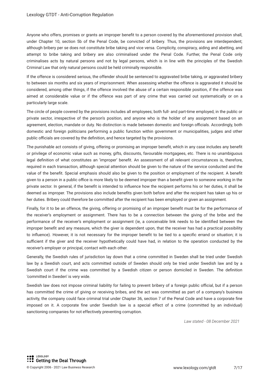Anyone who offers, promises or grants an improper beneft to a person covered by the aforementioned provision shall, under Chapter 10, section 5b of the Penal Code, be convicted of bribery. Thus, the provisions are interdependent; although bribery per se does not constitute bribe taking and vice versa. Complicity, conspiracy, aiding and abetting, and attempt to bribe taking and bribery are also criminalised under the Penal Code. Further, the Penal Code only criminalises acts by natural persons and not by legal persons, which is in line with the principles of the Swedish Criminal Law that only natural persons could be held criminally responsible.

If the offence is considered serious, the offender should be sentenced to aggravated bribe taking, or aggravated bribery to between six months and six years of imprisonment. When assessing whether the offence is aggravated it should be considered, among other things, if the offence involved the abuse of a certain responsible position, if the offence was aimed at considerable value or if the offence was part of any crime that was carried out systematically or on a particularly large scale.

The circle of people covered by the provisions includes all employees; both full- and part-time employed, in the public or private sector, irrespective of the person's position, and anyone who is the holder of any assignment based on an agreement, election, mandate or duty. No distinction is made between domestic and foreign officials. Accordingly, both domestic and foreign politicians performing a public function within government or municipalities, judges and other public officials are covered by the definition, and hence targeted by the provisions.

The punishable act consists of giving, offering or promising an improper beneft, which in any case includes any beneft or privilege of economic value such as money, gifts, discounts, favourable mortgagees, etc. There is no unambiguous legal defnition of what constitutes an 'improper' beneft. An assessment of all relevant circumstances is, therefore, required in each transaction, although special attention should be given to the nature of the service conducted and the value of the beneft. Special emphasis should also be given to the position or employment of the recipient. A beneft given to a person in a public office is more likely to be deemed improper than a benefit given to someone working in the private sector. In general, if the beneft is intended to infuence how the recipient performs his or her duties, it shall be deemed as improper. The provisions also include benefts given both before and after the recipient has taken up his or her duties. Bribery could therefore be committed after the recipient has been employed or given an assignment.

Finally, for it to be an offence, the giving, offering or promising of an improper beneft must be for the performance of the receiver's employment or assignment. There has to be a connection between the giving of the bribe and the performance of the receiver's employment or assignment (ie, a conceivable link needs to be identifed between the improper beneft and any measure, which the giver is dependent upon, that the receiver has had a practical possibility to infuence). However, it is not necessary for the improper beneft to be tied to a specifc errand or situation; it is sufficient if the giver and the receiver hypothetically could have had, in relation to the operation conducted by the receiver's employer or principal, contact with each other.

Generally, the Swedish rules of jurisdiction lay down that a crime committed in Sweden shall be tried under Swedish law by a Swedish court, and acts committed outside of Sweden should only be tried under Swedish law and by a Swedish court if the crime was committed by a Swedish citizen or person domiciled in Sweden. The defnition 'committed in Sweden' is very wide.

Swedish law does not impose criminal liability for failing to prevent bribery of a foreign public official, but if a person has committed the crime of giving or receiving bribes, and the act was committed as part of a company's business activity, the company could face criminal trial under Chapter 36, section 7 of the Penal Code and have a corporate fne imposed on it. A corporate fne under Swedish law is a special effect of a crime (committed by an individual) sanctioning companies for not effectively preventing corruption.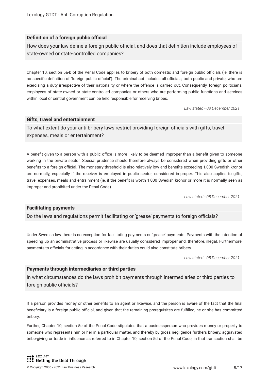#### **Definition of a foreign public official**

How does your law define a foreign public official, and does that definition include employees of state-owned or state-controlled companies?

Chapter 10, section 5a-b of the Penal Code applies to bribery of both domestic and foreign public officials (ie, there is no specific definition of 'foreign public official'). The criminal act includes all officials, both public and private, who are exercising a duty irrespective of their nationality or where the offence is carried out. Consequently, foreign politicians, employees of state-owned or state-controlled companies or others who are performing public functions and services within local or central government can be held responsible for receiving bribes.

*Law stated - 08 December 2021*

#### **Gifts, travel and entertainment**

To what extent do your anti-bribery laws restrict providing foreign officials with gifts, travel expenses, meals or entertainment?

A benefit given to a person with a public office is more likely to be deemed improper than a benefit given to someone working in the private sector. Special prudence should therefore always be considered when providing gifts or other benefits to a foreign official. The monetary threshold is also relatively low and benefits exceeding 1,000 Swedish kronor are normally, especially if the receiver is employed in public sector, considered improper. This also applies to gifts, travel expenses, meals and entrainment (ie, if the beneft is worth 1,000 Swedish kronor or more it is normally seen as improper and prohibited under the Penal Code).

*Law stated - 08 December 2021*

#### **Facilitating payments**

Do the laws and regulations permit facilitating or 'grease' payments to foreign officials?

Under Swedish law there is no exception for facilitating payments or 'grease' payments. Payments with the intention of speeding up an administrative process or likewise are usually considered improper and, therefore, illegal. Furthermore, payments to officials for acting in accordance with their duties could also constitute bribery.

*Law stated - 08 December 2021*

#### **Payments through intermediaries or third parties**

In what circumstances do the laws prohibit payments through intermediaries or third parties to foreign public officials?

If a person provides money or other benefts to an agent or likewise, and the person is aware of the fact that the fnal beneficiary is a foreign public official, and given that the remaining prerequisites are fulfilled, he or she has committed bribery.

Further, Chapter 10, section 5e of the Penal Code stipulates that a businessperson who provides money or property to someone who represents him or her in a particular matter, and thereby by gross negligence furthers bribery, aggravated bribe-giving or trade in infuence as referred to in Chapter 10, section 5d of the Penal Code, in that transaction shall be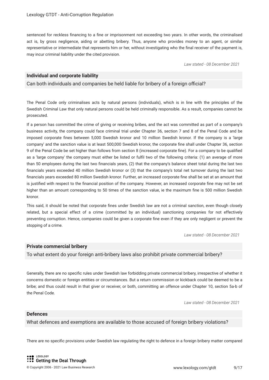sentenced for reckless fnancing to a fne or imprisonment not exceeding two years. In other words, the criminalised act is, by gross negligence, aiding or abetting bribery. Thus, anyone who provides money to an agent, or similar representative or intermediate that represents him or her, without investigating who the fnal receiver of the payment is, may incur criminal liability under the cited provision.

*Law stated - 08 December 2021*

#### **Individual and corporate liability**

Can both individuals and companies be held liable for bribery of a foreign official?

The Penal Code only criminalises acts by natural persons (individuals), which is in line with the principles of the Swedish Criminal Law that only natural persons could be held criminally responsible. As a result, companies cannot be prosecuted.

If a person has committed the crime of giving or receiving bribes, and the act was committed as part of a company's business activity, the company could face criminal trial under Chapter 36, section 7 and 8 of the Penal Code and be imposed corporate fnes between 5,000 Swedish kronor and 10 million Swedish kronor. If the company is a 'large company' and the sanction value is at least 500,000 Swedish kronor, the corporate fne shall under Chapter 36, section 9 of the Penal Code be set higher than follows from section 8 (increased corporate fne). For a company to be qualifed as a 'large company' the company must either be listed or fulfl two of the following criteria: (1) an average of more than 50 employees during the last two fnancials years, (2) that the company's balance sheet total during the last two fnancials years exceeded 40 million Swedish kronor or (3) that the company's total net turnover during the last two fnancials years exceeded 80 million Swedish kronor. Further, an increased corporate fne shall be set at an amount that is justifed with respect to the fnancial position of the company. However, an increased corporate fne may not be set higher than an amount corresponding to 50 times of the sanction value, ie the maximum fne is 500 million Swedish kronor.

This said, it should be noted that corporate fnes under Swedish law are not a criminal sanction, even though closely related, but a special effect of a crime (committed by an individual) sanctioning companies for not effectively preventing corruption. Hence, companies could be given a corporate fne even if they are only negligent or prevent the stopping of a crime.

*Law stated - 08 December 2021*

#### **Private commercial bribery**

To what extent do your foreign anti-bribery laws also prohibit private commercial bribery?

Generally, there are no specifc rules under Swedish law forbidding private commercial bribery, irrespective of whether it concerns domestic or foreign entities or circumstances. But a return commission or kickback could be deemed to be a bribe; and thus could result in that giver or receiver, or both, committing an offence under Chapter 10, section 5a-b of the Penal Code.

*Law stated - 08 December 2021*

#### **Defences**

What defences and exemptions are available to those accused of foreign bribery violations?

There are no specifc provisions under Swedish law regulating the right to defence in a foreign bribery matter compared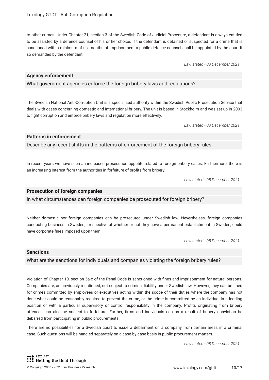to other crimes. Under Chapter 21, section 3 of the Swedish Code of Judicial Procedure, a defendant is always entitled to be assisted by a defence counsel of his or her choice. If the defendant is detained or suspected for a crime that is sanctioned with a minimum of six months of imprisonment a public defence counsel shall be appointed by the court if so demanded by the defendant.

*Law stated - 08 December 2021*

#### **Agency enforcement**

What government agencies enforce the foreign bribery laws and regulations?

The Swedish National Anti-Corruption Unit is a specialised authority within the Swedish Public Prosecution Service that deals with cases concerning domestic and international bribery. The unit is based in Stockholm and was set up in 2003 to fght corruption and enforce bribery laws and regulation more effectively.

*Law stated - 08 December 2021*

#### **Patterns in enforcement**

Describe any recent shifts in the patterns of enforcement of the foreign bribery rules.

In recent years we have seen an increased prosecution appetite related to foreign bribery cases. Furthermore, there is an increasing interest from the authorities in forfeiture of profts from bribery.

*Law stated - 08 December 2021*

#### **Prosecution of foreign companies**

In what circumstances can foreign companies be prosecuted for foreign bribery?

Neither domestic nor foreign companies can be prosecuted under Swedish law. Nevertheless, foreign companies conducting business in Sweden, irrespective of whether or not they have a permanent establishment in Sweden, could have corporate fnes imposed upon them.

*Law stated - 08 December 2021*

#### **Sanctions**

What are the sanctions for individuals and companies violating the foreign bribery rules?

Violation of Chapter 10, section 5a-c of the Penal Code is sanctioned with fnes and imprisonment for natural persons. Companies are, as previously mentioned, not subject to criminal liability under Swedish law. However, they can be fned for crimes committed by employees or executives acting within the scope of their duties where the company has not done what could be reasonably required to prevent the crime, or the crime is committed by an individual in a leading position or with a particular supervisory or control responsibility in the company. Profts originating from bribery offences can also be subject to forfeiture. Further, frms and individuals can as a result of bribery conviction be debarred from participating in public procurements.

There are no possibilities for a Swedish court to issue a debarment on a company from certain areas in a criminal case. Such questions will be handled separately on a case-by-case basis in public procurement matters.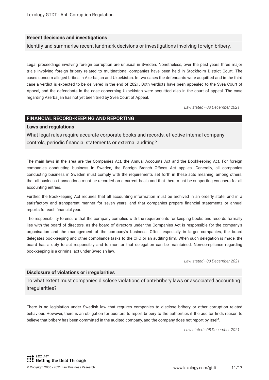#### **Recent decisions and investigations**

Identify and summarise recent landmark decisions or investigations involving foreign bribery.

Legal proceedings involving foreign corruption are unusual in Sweden. Nonetheless, over the past years three major trials involving foreign bribery related to multinational companies have been held in Stockholm District Court. The cases concern alleged bribes in Azerbaijan and Uzbekistan. In two cases the defendants were acquitted and in the third case a verdict is expected to be delivered in the end of 2021. Both verdicts have been appealed to the Svea Court of Appeal, and the defendants in the case concerning Uzbekistan were acquitted also in the court of appeal. The case regarding Azerbaijan has not yet been tried by Svea Court of Appeal.

*Law stated - 08 December 2021*

#### **FINANCIAL RECORD-KEEPING AND REPORTING**

#### **Laws and regulations**

What legal rules require accurate corporate books and records, effective internal company controls, periodic fnancial statements or external auditing?

The main laws in the area are the Companies Act, the Annual Accounts Act and the Bookkeeping Act. For foreign companies conducting business in Sweden, the Foreign Branch Offices Act applies. Generally, all companies conducting business in Sweden must comply with the requirements set forth in these acts meaning, among others, that all business transactions must be recorded on a current basis and that there must be supporting vouchers for all accounting entries.

Further, the Bookkeeping Act requires that all accounting information must be archived in an orderly state, and in a satisfactory and transparent manner for seven years, and that companies prepare fnancial statements or annual reports for each fnancial year.

The responsibility to ensure that the company complies with the requirements for keeping books and records formally lies with the board of directors, as the board of directors under the Companies Act is responsible for the company's organisation and the management of the company's business. Often, especially in larger companies, the board delegates bookkeeping and other compliance tasks to the CFO or an auditing frm. When such delegation is made, the board has a duty to act responsibly and to monitor that delegation can be maintained. Non-compliance regarding bookkeeping is a criminal act under Swedish law.

*Law stated - 08 December 2021*

#### **Disclosure of violations or irregularities**

To what extent must companies disclose violations of anti-bribery laws or associated accounting irregularities?

There is no legislation under Swedish law that requires companies to disclose bribery or other corruption related behaviour. However, there is an obligation for auditors to report bribery to the authorities if the auditor fnds reason to believe that bribery has been committed in the audited company, and the company does not report by itself.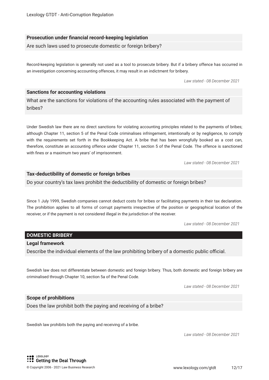#### **Prosecution under fnancial record-keeping legislation**

Are such laws used to prosecute domestic or foreign bribery?

Record-keeping legislation is generally not used as a tool to prosecute bribery. But if a bribery offence has occurred in an investigation concerning accounting offences, it may result in an indictment for bribery.

*Law stated - 08 December 2021*

#### **Sanctions for accounting violations**

What are the sanctions for violations of the accounting rules associated with the payment of bribes?

Under Swedish law there are no direct sanctions for violating accounting principles related to the payments of bribes; although Chapter 11, section 5 of the Penal Code criminalises infringement, intentionally or by negligence, to comply with the requirements set forth in the Bookkeeping Act. A bribe that has been wrongfully booked as a cost can, therefore, constitute an accounting offence under Chapter 11, section 5 of the Penal Code. The offence is sanctioned with fnes or a maximum two years' of imprisonment.

*Law stated - 08 December 2021*

#### **Tax-deductibility of domestic or foreign bribes**

Do your country's tax laws prohibit the deductibility of domestic or foreign bribes?

Since 1 July 1999, Swedish companies cannot deduct costs for bribes or facilitating payments in their tax declaration. The prohibition applies to all forms of corrupt payments irrespective of the position or geographical location of the receiver, or if the payment is not considered illegal in the jurisdiction of the receiver.

*Law stated - 08 December 2021*

#### **DOMESTIC BRIBERY**

#### **Legal framework**

Describe the individual elements of the law prohibiting bribery of a domestic public official.

Swedish law does not differentiate between domestic and foreign bribery. Thus, both domestic and foreign bribery are criminalised through Chapter 10, section 5a of the Penal Code.

*Law stated - 08 December 2021*

#### **Scope of prohibitions**

Does the law prohibit both the paying and receiving of a bribe?

Swedish law prohibits both the paying and receiving of a bribe.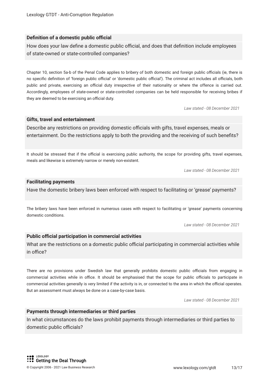#### **Definition of a domestic public official**

How does your law define a domestic public official, and does that definition include employees of state-owned or state-controlled companies?

Chapter 10, section 5a-b of the Penal Code applies to bribery of both domestic and foreign public officials (ie, there is no specific definition of 'foreign public official' or 'domestic public official'). The criminal act includes all officials, both public and private, exercising an official duty irrespective of their nationality or where the offence is carried out. Accordingly, employees of state-owned or state-controlled companies can be held responsible for receiving bribes if they are deemed to be exercising an official duty.

*Law stated - 08 December 2021*

#### **Gifts, travel and entertainment**

Describe any restrictions on providing domestic officials with gifts, travel expenses, meals or entertainment. Do the restrictions apply to both the providing and the receiving of such benefts?

It should be stressed that if the official is exercising public authority, the scope for providing gifts, travel expenses, meals and likewise is extremely narrow or merely non-existent.

*Law stated - 08 December 2021*

#### **Facilitating payments**

Have the domestic bribery laws been enforced with respect to facilitating or 'grease' payments?

The bribery laws have been enforced in numerous cases with respect to facilitating or 'grease' payments concerning domestic conditions.

*Law stated - 08 December 2021*

#### **Public official participation in commercial activities**

What are the restrictions on a domestic public official participating in commercial activities while in office?

There are no provisions under Swedish law that generally prohibits domestic public officials from engaging in commercial activities while in office. It should be emphasised that the scope for public officials to participate in commercial activities generally is very limited if the activity is in, or connected to the area in which the official operates. But an assessment must always be done on a case-by-case basis.

*Law stated - 08 December 2021*

#### **Payments through intermediaries or third parties**

In what circumstances do the laws prohibit payments through intermediaries or third parties to domestic public officials?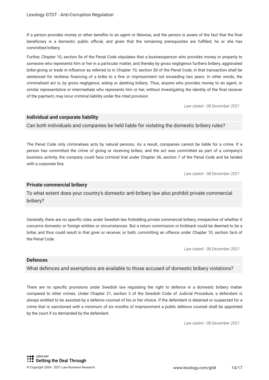If a person provides money or other benefts to an agent or likewise, and the person is aware of the fact that the fnal beneficiary is a domestic public official, and given that the remaining prerequisites are fulfilled, he or she has committed bribery.

Further, Chapter 10, section 5e of the Penal Code stipulates that a businessperson who provides money or property to someone who represents him or her in a particular matter, and thereby by gross negligence furthers bribery, aggravated bribe-giving or trade in infuence as referred to in Chapter 10, section 5d of the Penal Code, in that transaction shall be sentenced for reckless fnancing of a bribe to a fne or imprisonment not exceeding two years. In other words, the criminalised act is, by gross negligence, aiding or abetting bribery. Thus, anyone who provides money to an agent, or similar representative or intermediate who represents him or her, without investigating the identity of the fnal receiver of the payment, may incur criminal liability under the cited provision.

*Law stated - 08 December 2021*

#### **Individual and corporate liability**

Can both individuals and companies be held liable for violating the domestic bribery rules?

The Penal Code only criminalises acts by natural persons. As a result, companies cannot be liable for a crime. If a person has committed the crime of giving or receiving bribes, and the act was committed as part of a company's business activity, the company could face criminal trial under Chapter 36, section 7 of the Penal Code and be landed with a corporate fine.

*Law stated - 08 December 2021*

#### **Private commercial bribery**

To what extent does your country's domestic anti-bribery law also prohibit private commercial bribery?

Generally, there are no specifc rules under Swedish law forbidding private commercial bribery, irrespective of whether it concerns domestic or foreign entities or circumstances. But a return commission or kickback could be deemed to be a bribe; and thus could result in that giver or receiver, or both, committing an offence under Chapter 10, section 5a-b of the Penal Code.

*Law stated - 08 December 2021*

#### **Defences**

What defences and exemptions are available to those accused of domestic bribery violations?

There are no specifc provisions under Swedish law regulating the right to defence in a domestic bribery matter compared to other crimes. Under Chapter 21, section 3 of the Swedish Code of Judicial Procedure, a defendant is always entitled to be assisted by a defence counsel of his or her choice. If the defendant is detained or suspected for a crime that is sanctioned with a minimum of six months of imprisonment a public defence counsel shall be appointed by the court if so demanded by the defendant.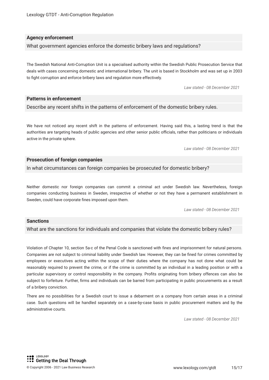#### **Agency enforcement**

What government agencies enforce the domestic bribery laws and regulations?

The Swedish National Anti-Corruption Unit is a specialised authority within the Swedish Public Prosecution Service that deals with cases concerning domestic and international bribery. The unit is based in Stockholm and was set up in 2003 to fght corruption and enforce bribery laws and regulation more effectively.

*Law stated - 08 December 2021*

#### **Patterns in enforcement**

Describe any recent shifts in the patterns of enforcement of the domestic bribery rules.

We have not noticed any recent shift in the patterns of enforcement. Having said this, a lasting trend is that the authorities are targeting heads of public agencies and other senior public officials, rather than politicians or individuals active in the private sphere.

*Law stated - 08 December 2021*

#### **Prosecution of foreign companies**

In what circumstances can foreign companies be prosecuted for domestic bribery?

Neither domestic nor foreign companies can commit a criminal act under Swedish law. Nevertheless, foreign companies conducting business in Sweden, irrespective of whether or not they have a permanent establishment in Sweden, could have corporate fnes imposed upon them.

*Law stated - 08 December 2021*

#### **Sanctions**

What are the sanctions for individuals and companies that violate the domestic bribery rules?

Violation of Chapter 10, section 5a-c of the Penal Code is sanctioned with fnes and imprisonment for natural persons. Companies are not subject to criminal liability under Swedish law. However, they can be fned for crimes committed by employees or executives acting within the scope of their duties where the company has not done what could be reasonably required to prevent the crime, or if the crime is committed by an individual in a leading position or with a particular supervisory or control responsibility in the company. Profts originating from bribery offences can also be subject to forfeiture. Further, frms and individuals can be barred from participating in public procurements as a result of a bribery conviction.

There are no possibilities for a Swedish court to issue a debarment on a company from certain areas in a criminal case. Such questions will be handled separately on a case-by-case basis in public procurement matters and by the administrative courts.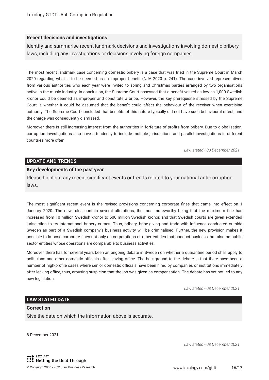#### **Recent decisions and investigations**

Identify and summarise recent landmark decisions and investigations involving domestic bribery laws, including any investigations or decisions involving foreign companies.

The most recent landmark case concerning domestic bribery is a case that was tried in the Supreme Court in March 2020 regarding what is to be deemed as an improper beneft (NJA 2020 p. 241). The case involved representatives from various authorities who each year were invited to spring and Christmas parties arranged by two organisations active in the music industry. In conclusion, the Supreme Court assessed that a beneft valued as low as 1,000 Swedish kronor could be deemed as improper and constitute a bribe. However, the key prerequisite stressed by the Supreme Court is whether it could be assumed that the beneft could affect the behaviour of the receiver when exercising authority. The Supreme Court concluded that benefts of this nature typically did not have such behavioural effect, and the charge was consequently dismissed.

Moreover, there is still increasing interest from the authorities in forfeiture of profts from bribery. Due to globalisation, corruption investigations also have a tendency to include multiple jurisdictions and parallel investigations in different countries more often.

*Law stated - 08 December 2021*

#### **UPDATE AND TRENDS**

#### **Key developments of the past year**

Please highlight any recent signifcant events or trends related to your national anti-corruption laws.

The most signifcant recent event is the revised provisions concerning corporate fnes that came into effect on 1 January 2020. The new rules contain several alterations, the most noteworthy being that the maximum fne has increased from 10 million Swedish kronor to 500 million Swedish kronor, and that Swedish courts are given extended jurisdiction to try international bribery crimes. Thus, bribery, bribe-giving and trade with infuence conducted outside Sweden as part of a Swedish company's business activity will be criminalised. Further, the new provision makes it possible to impose corporate fnes not only on corporations or other entities that conduct business, but also on public sector entities whose operations are comparable to business activities.

Moreover, there has for several years been an ongoing debate in Sweden on whether a quarantine period shall apply to politicians and other domestic officials after leaving office. The background to the debate is that there have been a number of high-profile cases where senior domestic officials have been hired by companies or institutions immediately after leaving office, thus, arousing suspicion that the job was given as compensation. The debate has yet not led to any new legislation.

*Law stated - 08 December 2021*

#### **LAW STATED DATE**

#### **Correct on**

Give the date on which the information above is accurate.

8 December 2021.